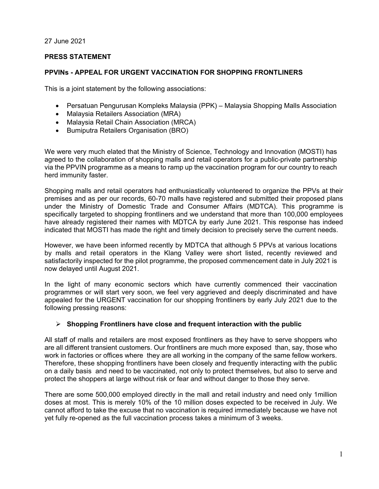27 June 2021

# **PRESS STATEMENT**

# **PPVINs - APPEAL FOR URGENT VACCINATION FOR SHOPPING FRONTLINERS**

This is a joint statement by the following associations:

- Persatuan Pengurusan Kompleks Malaysia (PPK) Malaysia Shopping Malls Association
- Malaysia Retailers Association (MRA)
- Malaysia Retail Chain Association (MRCA)
- Bumiputra Retailers Organisation (BRO)

We were very much elated that the Ministry of Science, Technology and Innovation (MOSTI) has agreed to the collaboration of shopping malls and retail operators for a public-private partnership via the PPVIN programme as a means to ramp up the vaccination program for our country to reach herd immunity faster.

Shopping malls and retail operators had enthusiastically volunteered to organize the PPVs at their premises and as per our records, 60-70 malls have registered and submitted their proposed plans under the Ministry of Domestic Trade and Consumer Affairs (MDTCA). This programme is specifically targeted to shopping frontliners and we understand that more than 100,000 employees have already registered their names with MDTCA by early June 2021. This response has indeed indicated that MOSTI has made the right and timely decision to precisely serve the current needs.

However, we have been informed recently by MDTCA that although 5 PPVs at various locations by malls and retail operators in the Klang Valley were short listed, recently reviewed and satisfactorily inspected for the pilot programme, the proposed commencement date in July 2021 is now delayed until August 2021.

In the light of many economic sectors which have currently commenced their vaccination programmes or will start very soon, we feel very aggrieved and deeply discriminated and have appealed for the URGENT vaccination for our shopping frontliners by early July 2021 due to the following pressing reasons:

# **Shopping Frontliners have close and frequent interaction with the public**

All staff of malls and retailers are most exposed frontliners as they have to serve shoppers who are all different transient customers. Our frontliners are much more exposed than, say, those who work in factories or offices where they are all working in the company of the same fellow workers. Therefore, these shopping frontliners have been closely and frequently interacting with the public on a daily basis and need to be vaccinated, not only to protect themselves, but also to serve and protect the shoppers at large without risk or fear and without danger to those they serve.

There are some 500,000 employed directly in the mall and retail industry and need only 1million doses at most. This is merely 10% of the 10 million doses expected to be received in July. We cannot afford to take the excuse that no vaccination is required immediately because we have not yet fully re-opened as the full vaccination process takes a minimum of 3 weeks.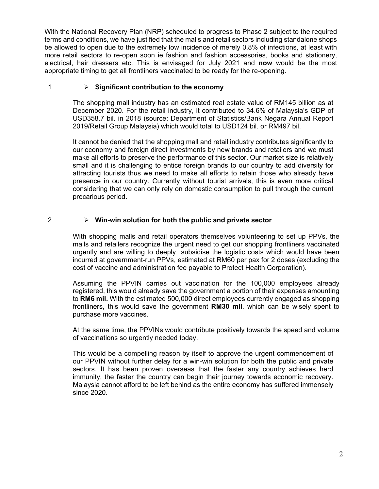With the National Recovery Plan (NRP) scheduled to progress to Phase 2 subject to the required terms and conditions, we have justified that the malls and retail sectors including standalone shops be allowed to open due to the extremely low incidence of merely 0.8% of infections, at least with more retail sectors to re-open soon ie fashion and fashion accessories, books and stationery, electrical, hair dressers etc. This is envisaged for July 2021 and **now** would be the most appropriate timing to get all frontliners vaccinated to be ready for the re-opening.

# 1 **Significant contribution to the economy**

The shopping mall industry has an estimated real estate value of RM145 billion as at December 2020. For the retail industry, it contributed to 34.6% of Malaysia's GDP of USD358.7 bil. in 2018 (source: Department of Statistics/Bank Negara Annual Report 2019/Retail Group Malaysia) which would total to USD124 bil. or RM497 bil.

It cannot be denied that the shopping mall and retail industry contributes significantly to our economy and foreign direct investments by new brands and retailers and we must make all efforts to preserve the performance of this sector. Our market size is relatively small and it is challenging to entice foreign brands to our country to add diversity for attracting tourists thus we need to make all efforts to retain those who already have presence in our country. Currently without tourist arrivals, this is even more critical considering that we can only rely on domestic consumption to pull through the current precarious period.

# 2 **Win-win solution for both the public and private sector**

With shopping malls and retail operators themselves volunteering to set up PPVs, the malls and retailers recognize the urgent need to get our shopping frontliners vaccinated urgently and are willing to deeply subsidise the logistic costs which would have been incurred at government-run PPVs, estimated at RM60 per pax for 2 doses (excluding the cost of vaccine and administration fee payable to Protect Health Corporation).

Assuming the PPVIN carries out vaccination for the 100,000 employees already registered, this would already save the government a portion of their expenses amounting to **RM6 mil.** With the estimated 500,000 direct employees currently engaged as shopping frontliners, this would save the government **RM30 mil**. which can be wisely spent to purchase more vaccines.

At the same time, the PPVINs would contribute positively towards the speed and volume of vaccinations so urgently needed today.

This would be a compelling reason by itself to approve the urgent commencement of our PPVIN without further delay for a win-win solution for both the public and private sectors. It has been proven overseas that the faster any country achieves herd immunity, the faster the country can begin their journey towards economic recovery. Malaysia cannot afford to be left behind as the entire economy has suffered immensely since 2020.